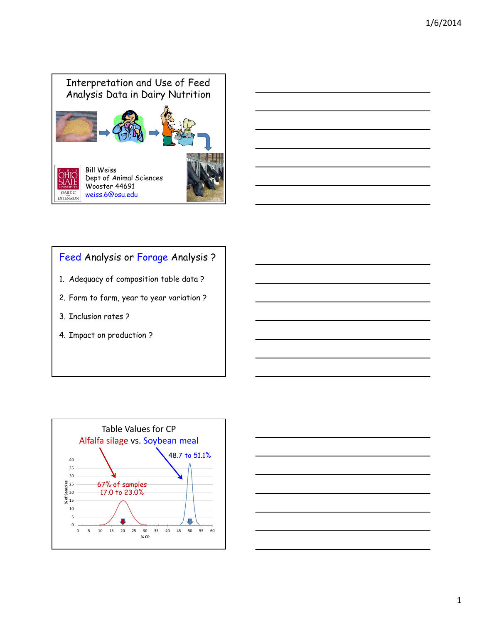

# Feed Analysis or Forage Analysis ?

- 1. Adequacy of composition table data ?
- 2. Farm to farm, year to year variation ?
- 3. Inclusion rates ?
- 4. Impact on production ?



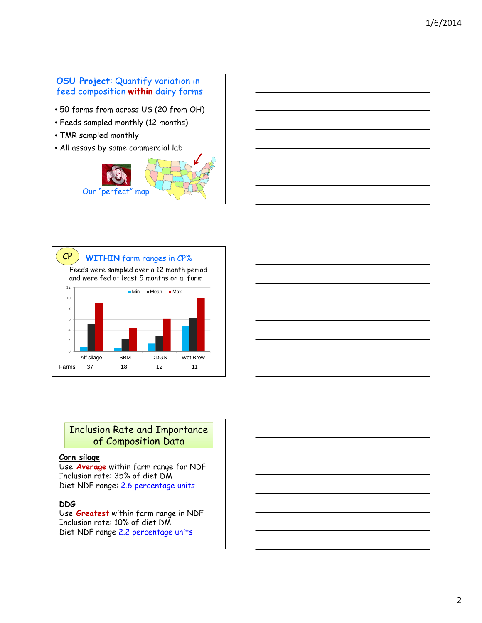





### Inclusion Rate and Importance of Composition Data

#### **Corn silage**

Use **Average** within farm range for NDF Inclusion rate: 35% of diet DM Diet NDF range: 2.6 percentage units

#### **DDG**

Use **Greatest** within farm range in NDF Inclusion rate: 10% of diet DM Diet NDF range 2.2 percentage units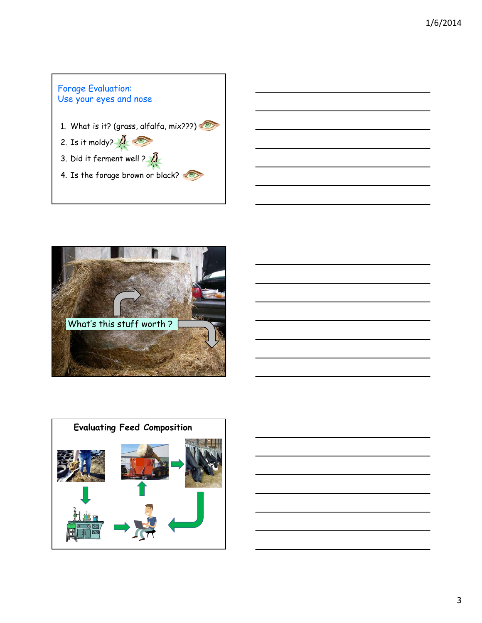





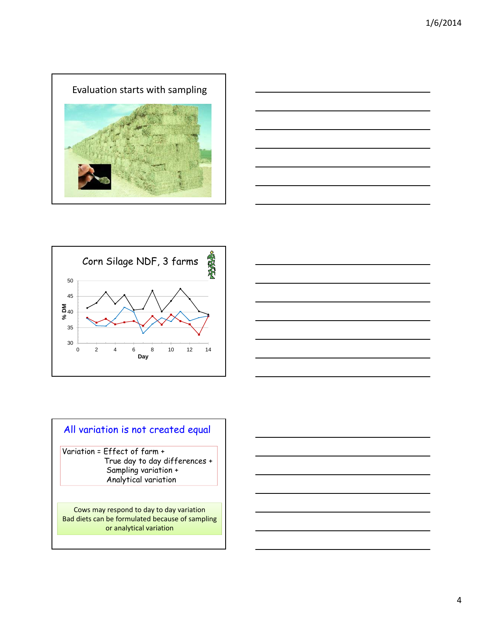





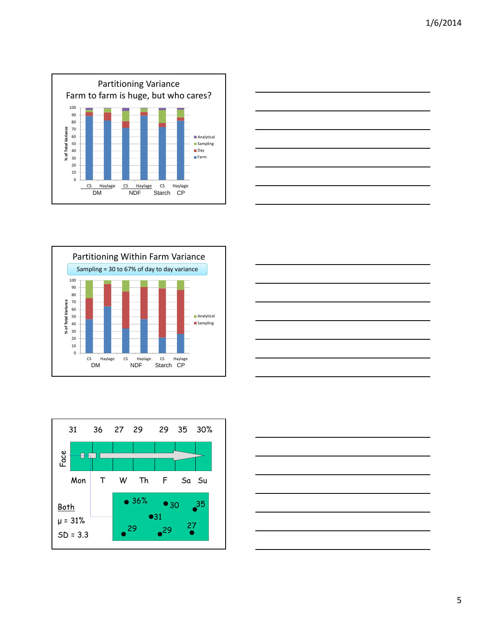









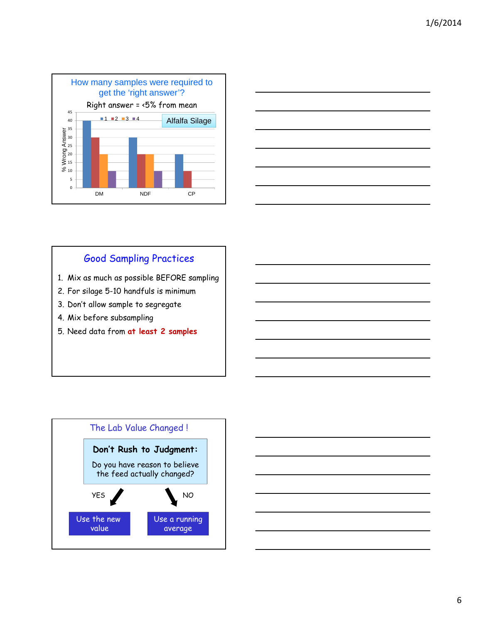



## Good Sampling Practices

- 1. Mix as much as possible BEFORE sampling
- 2. For silage 5-10 handfuls is minimum
- 3. Don't allow sample to segregate
- 4. Mix before subsampling
- 5. Need data from **at least 2 samples**



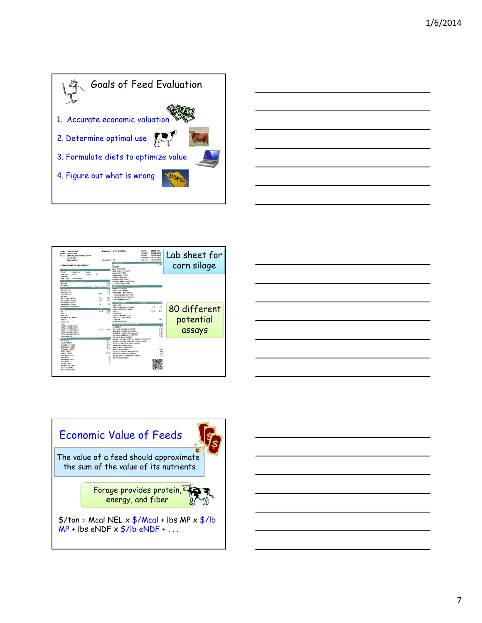







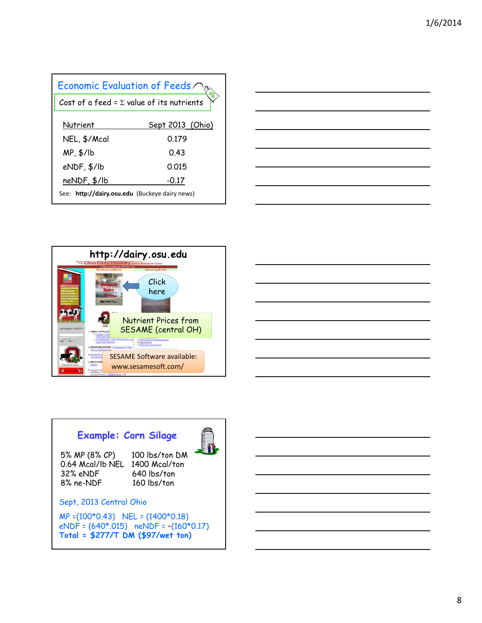| Economic Evaluation of Feeds/                    |                  |  |
|--------------------------------------------------|------------------|--|
| Cost of a feed = $\Sigma$ value of its nutrients |                  |  |
| Nutrient                                         | Sept 2013 (Ohio) |  |
| NEL, \$/Mcal                                     | 0 179            |  |
| $MP, $/$ lb                                      | 043              |  |
| eNDF, \$/lb                                      | 0015             |  |
| $neNDF, \frac{4}{10}$                            | $-0.17$          |  |
| See: http://dairy.osu.edu (Buckeye dairy news)   |                  |  |







# **Example: Corn Silage**

5% MP (8% CP) 100 lbs/ton DM 0.64 Mcal/lb NEL 1400 Mcal/ton 32% eNDF 640 lbs/ton<br>8% ne-NDF 160 lbs/ton

160 lbs/ton

E.

### Sept, 2013 Central Ohio

MP =(100\*0.43) NEL = (1400\*0.18)  $e$ NDF =  $(640*.015)$  neNDF =  $-(160*0.17)$ **Total = \$277/T DM (\$97/wet ton)**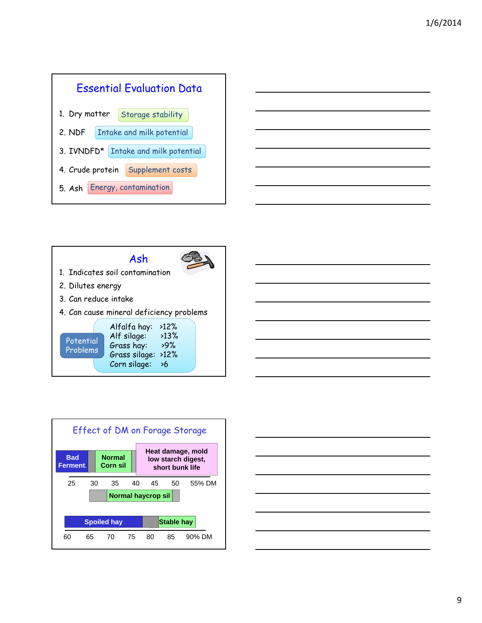





25 30 35 40 45 50 55% DM **Bad Ferment**. **Normal Corn sil Normal haycrop sil Heat damage, mold low starch digest, short bunk life** Effect of DM on Forage Storage 60 65 70 75 80 85 90% DM **Spoiled hay Stable hay** 

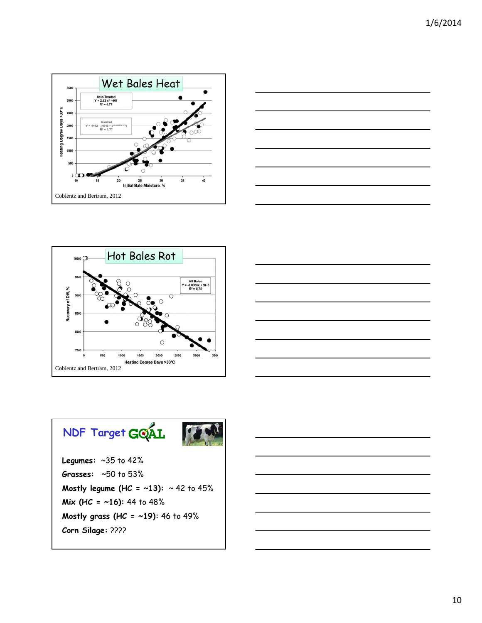







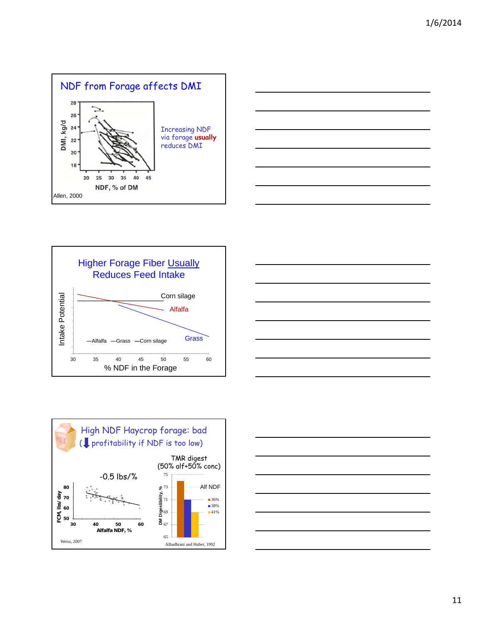









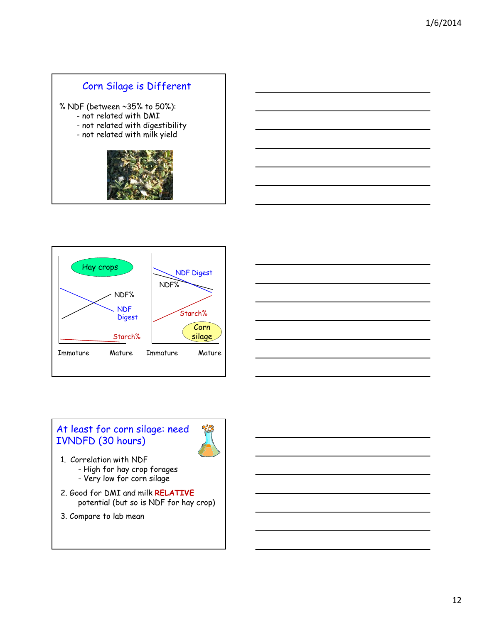## Corn Silage is Different

% NDF (between ~35% to 50%):

- not related with DMI
- not related with digestibility
- not related with milk yield







## At least for corn silage: need IVNDFD (30 hours)



- 1. Correlation with NDF - High for hay crop forages
	- Very low for corn silage
- 2. Good for DMI and milk **RELATIVE** potential (but so is NDF for hay crop)
- 3. Compare to lab mean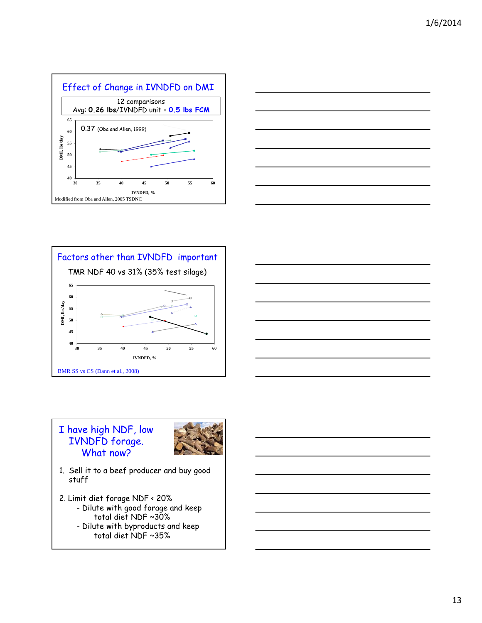







### I have high NDF, low IVNDFD forage. What now?



- 1. Sell it to a beef producer and buy good stuff
- 2. Limit diet forage NDF < 20% - Dilute with good forage and keep total diet NDF ~30% - Dilute with byproducts and keep
	- total diet NDF ~35%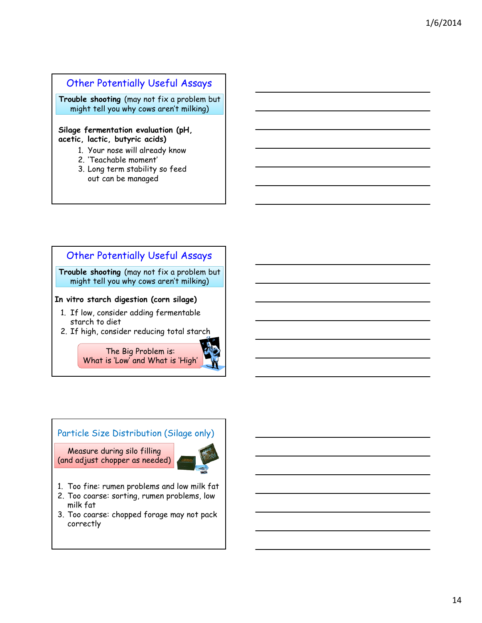### Other Potentially Useful Assays

**Trouble shooting** (may not fix a problem but might tell you why cows aren't milking)

#### **Silage fermentation evaluation (pH, acetic, lactic, butyric acids)**

- 1. Your nose will already know
- 2. 'Teachable moment'
- 3. Long term stability so feed out can be managed



#### Particle Size Distribution (Silage only)

Measure during silo filling (and adjust chopper as needed)



- 1. Too fine: rumen problems and low milk fat
- 2. Too coarse: sorting, rumen problems, low milk fat
- 3. Too coarse: chopped forage may not pack correctly